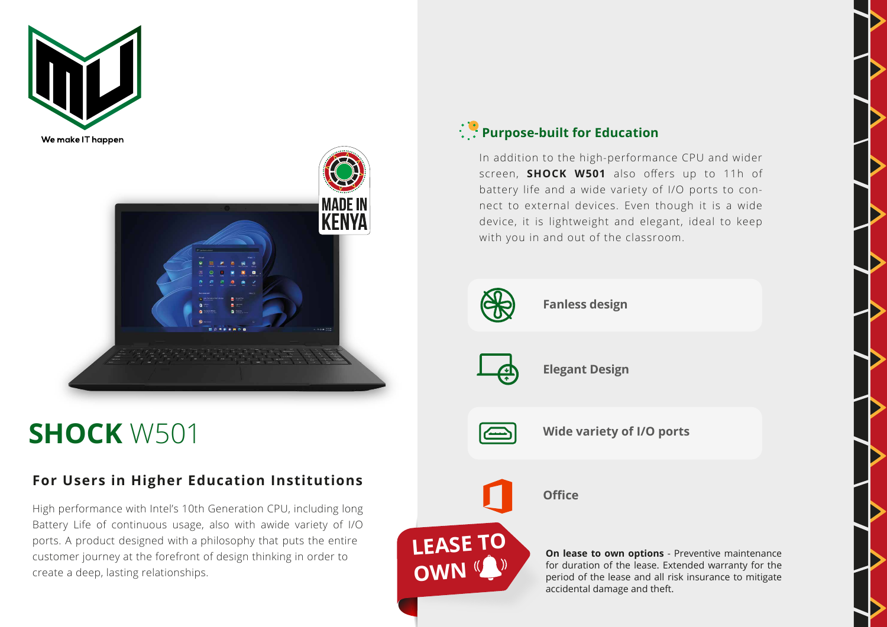



## **SHOCK** W501

## **For Users in Higher Education Institutions**

High performance with Intel's 10th Generation CPU, including long Battery Life of continuous usage, also with awide variety of I/O ports. A product designed with a philosophy that puts the entire customer journey at the forefront of design thinking in order to create a deep, lasting relationships.

## **Purpose-built for Education**

In addition to the high-performance CPU and wider screen, **SHOCK W501** also offers up to 11h of battery life and a wide variety of I/O ports to connect to external devices. Even though it is a wide device, it is lightweight and elegant, ideal to keep with you in and out of the classroom.



**Fanless design**

**Elegant Design**



**LEASE TO** 

**OWN** 

**Wide variety of I/O ports**



**Office** 

**On lease to own options** - Preventive maintenance for duration of the lease. Extended warranty for the period of the lease and all risk insurance to mitigate accidental damage and theft.